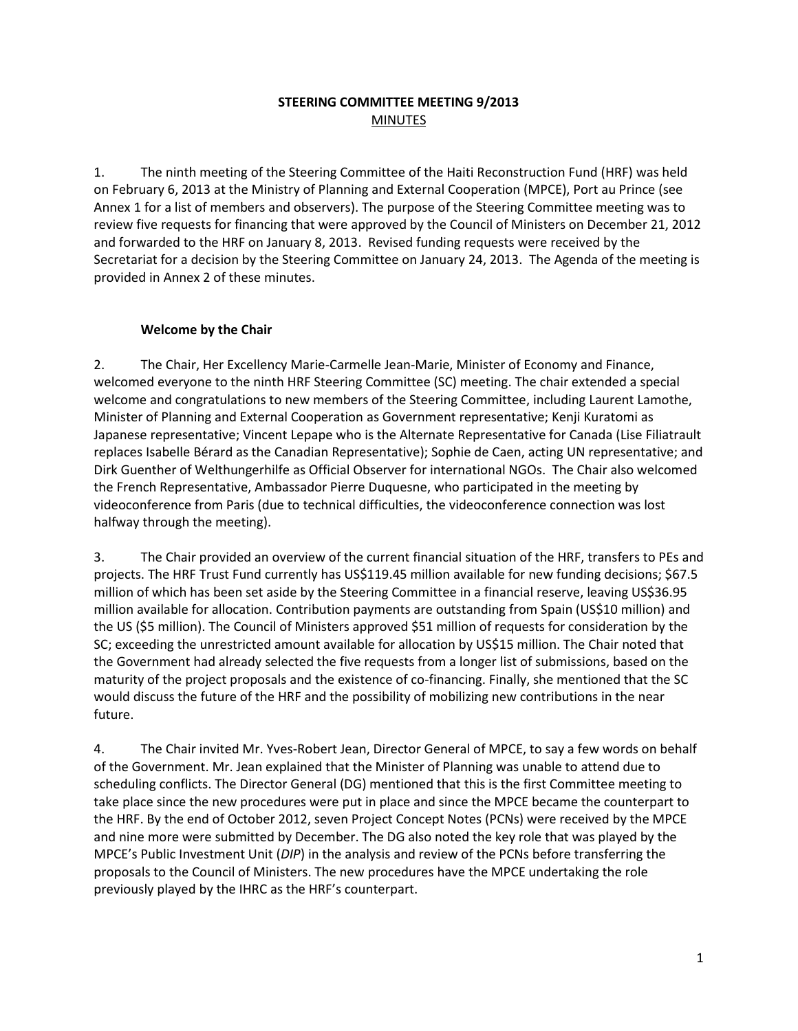## **STEERING COMMITTEE MEETING 9/2013** MINUTES

1. The ninth meeting of the Steering Committee of the Haiti Reconstruction Fund (HRF) was held on February 6, 2013 at the Ministry of Planning and External Cooperation (MPCE), Port au Prince (see Annex 1 for a list of members and observers). The purpose of the Steering Committee meeting was to review five requests for financing that were approved by the Council of Ministers on December 21, 2012 and forwarded to the HRF on January 8, 2013. Revised funding requests were received by the Secretariat for a decision by the Steering Committee on January 24, 2013. The Agenda of the meeting is provided in Annex 2 of these minutes.

## **Welcome by the Chair**

2. The Chair, Her Excellency Marie-Carmelle Jean-Marie, Minister of Economy and Finance, welcomed everyone to the ninth HRF Steering Committee (SC) meeting. The chair extended a special welcome and congratulations to new members of the Steering Committee, including Laurent Lamothe, Minister of Planning and External Cooperation as Government representative; Kenji Kuratomi as Japanese representative; Vincent Lepape who is the Alternate Representative for Canada (Lise Filiatrault replaces Isabelle Bérard as the Canadian Representative); Sophie de Caen, acting UN representative; and Dirk Guenther of Welthungerhilfe as Official Observer for international NGOs. The Chair also welcomed the French Representative, Ambassador Pierre Duquesne, who participated in the meeting by videoconference from Paris (due to technical difficulties, the videoconference connection was lost halfway through the meeting).

3. The Chair provided an overview of the current financial situation of the HRF, transfers to PEs and projects. The HRF Trust Fund currently has US\$119.45 million available for new funding decisions; \$67.5 million of which has been set aside by the Steering Committee in a financial reserve, leaving US\$36.95 million available for allocation. Contribution payments are outstanding from Spain (US\$10 million) and the US (\$5 million). The Council of Ministers approved \$51 million of requests for consideration by the SC; exceeding the unrestricted amount available for allocation by US\$15 million. The Chair noted that the Government had already selected the five requests from a longer list of submissions, based on the maturity of the project proposals and the existence of co-financing. Finally, she mentioned that the SC would discuss the future of the HRF and the possibility of mobilizing new contributions in the near future.

4. The Chair invited Mr. Yves-Robert Jean, Director General of MPCE, to say a few words on behalf of the Government. Mr. Jean explained that the Minister of Planning was unable to attend due to scheduling conflicts. The Director General (DG) mentioned that this is the first Committee meeting to take place since the new procedures were put in place and since the MPCE became the counterpart to the HRF. By the end of October 2012, seven Project Concept Notes (PCNs) were received by the MPCE and nine more were submitted by December. The DG also noted the key role that was played by the MPCE's Public Investment Unit (*DIP*) in the analysis and review of the PCNs before transferring the proposals to the Council of Ministers. The new procedures have the MPCE undertaking the role previously played by the IHRC as the HRF's counterpart.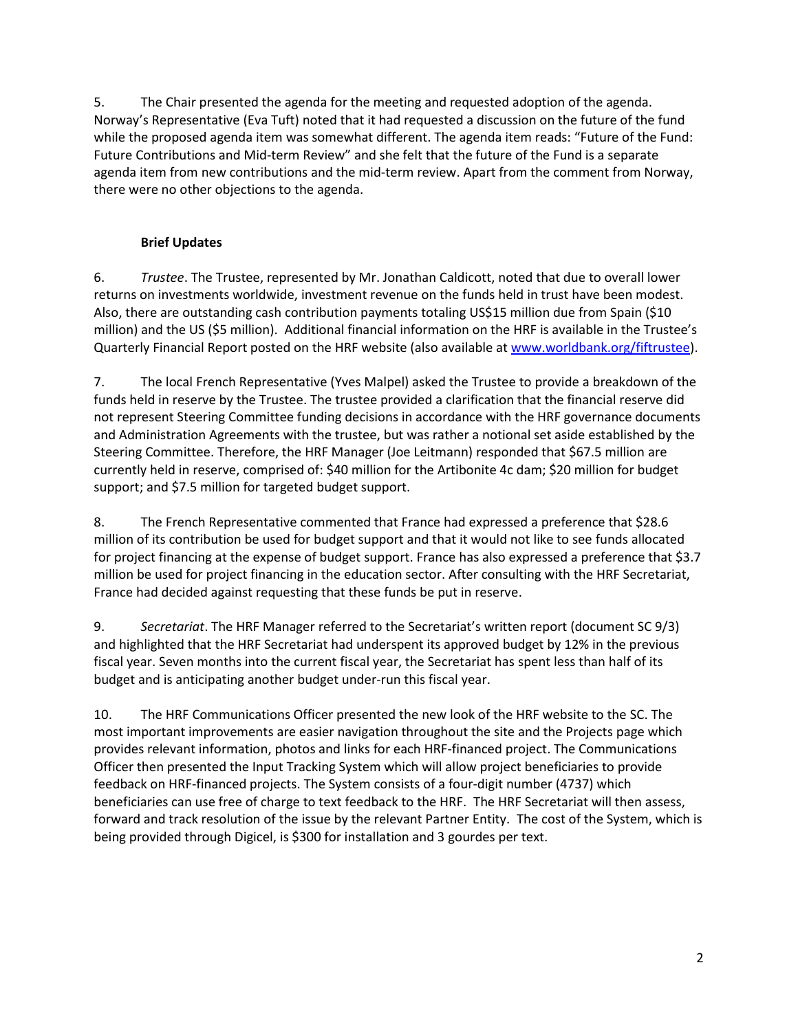5. The Chair presented the agenda for the meeting and requested adoption of the agenda. Norway's Representative (Eva Tuft) noted that it had requested a discussion on the future of the fund while the proposed agenda item was somewhat different. The agenda item reads: "Future of the Fund: Future Contributions and Mid-term Review" and she felt that the future of the Fund is a separate agenda item from new contributions and the mid-term review. Apart from the comment from Norway, there were no other objections to the agenda.

# **Brief Updates**

6. *Trustee*. The Trustee, represented by Mr. Jonathan Caldicott, noted that due to overall lower returns on investments worldwide, investment revenue on the funds held in trust have been modest. Also, there are outstanding cash contribution payments totaling US\$15 million due from Spain (\$10 million) and the US (\$5 million). Additional financial information on the HRF is available in the Trustee's Quarterly Financial Report posted on the HRF website (also available at [www.worldbank.org/fiftrustee\)](http://www.worldbank.org/fiftrustee).

7. The local French Representative (Yves Malpel) asked the Trustee to provide a breakdown of the funds held in reserve by the Trustee. The trustee provided a clarification that the financial reserve did not represent Steering Committee funding decisions in accordance with the HRF governance documents and Administration Agreements with the trustee, but was rather a notional set aside established by the Steering Committee. Therefore, the HRF Manager (Joe Leitmann) responded that \$67.5 million are currently held in reserve, comprised of: \$40 million for the Artibonite 4c dam; \$20 million for budget support; and \$7.5 million for targeted budget support.

8. The French Representative commented that France had expressed a preference that \$28.6 million of its contribution be used for budget support and that it would not like to see funds allocated for project financing at the expense of budget support. France has also expressed a preference that \$3.7 million be used for project financing in the education sector. After consulting with the HRF Secretariat, France had decided against requesting that these funds be put in reserve.

9. *Secretariat*. The HRF Manager referred to the Secretariat's written report (document SC 9/3) and highlighted that the HRF Secretariat had underspent its approved budget by 12% in the previous fiscal year. Seven months into the current fiscal year, the Secretariat has spent less than half of its budget and is anticipating another budget under-run this fiscal year.

10. The HRF Communications Officer presented the new look of the HRF website to the SC. The most important improvements are easier navigation throughout the site and the Projects page which provides relevant information, photos and links for each HRF-financed project. The Communications Officer then presented the Input Tracking System which will allow project beneficiaries to provide feedback on HRF-financed projects. The System consists of a four-digit number (4737) which beneficiaries can use free of charge to text feedback to the HRF. The HRF Secretariat will then assess, forward and track resolution of the issue by the relevant Partner Entity. The cost of the System, which is being provided through Digicel, is \$300 for installation and 3 gourdes per text.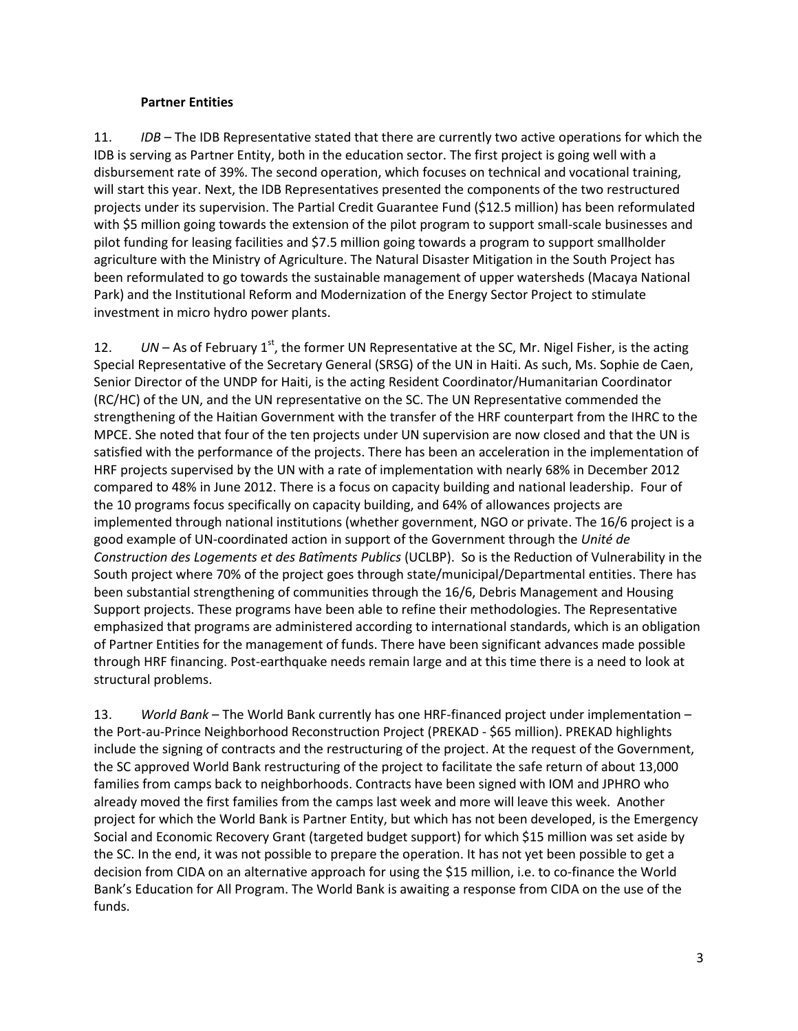#### **Partner Entities**

11. *IDB* – The IDB Representative stated that there are currently two active operations for which the IDB is serving as Partner Entity, both in the education sector. The first project is going well with a disbursement rate of 39%. The second operation, which focuses on technical and vocational training, will start this year. Next, the IDB Representatives presented the components of the two restructured projects under its supervision. The Partial Credit Guarantee Fund (\$12.5 million) has been reformulated with \$5 million going towards the extension of the pilot program to support small-scale businesses and pilot funding for leasing facilities and \$7.5 million going towards a program to support smallholder agriculture with the Ministry of Agriculture. The Natural Disaster Mitigation in the South Project has been reformulated to go towards the sustainable management of upper watersheds (Macaya National Park) and the Institutional Reform and Modernization of the Energy Sector Project to stimulate investment in micro hydro power plants.

12. *UN* – As of February 1<sup>st</sup>, the former UN Representative at the SC, Mr. Nigel Fisher, is the acting Special Representative of the Secretary General (SRSG) of the UN in Haiti. As such, Ms. Sophie de Caen, Senior Director of the UNDP for Haiti, is the acting Resident Coordinator/Humanitarian Coordinator (RC/HC) of the UN, and the UN representative on the SC. The UN Representative commended the strengthening of the Haitian Government with the transfer of the HRF counterpart from the IHRC to the MPCE. She noted that four of the ten projects under UN supervision are now closed and that the UN is satisfied with the performance of the projects. There has been an acceleration in the implementation of HRF projects supervised by the UN with a rate of implementation with nearly 68% in December 2012 compared to 48% in June 2012. There is a focus on capacity building and national leadership. Four of the 10 programs focus specifically on capacity building, and 64% of allowances projects are implemented through national institutions (whether government, NGO or private. The 16/6 project is a good example of UN-coordinated action in support of the Government through the *Unité de Construction des Logements et des Batîments Publics* (UCLBP). So is the Reduction of Vulnerability in the South project where 70% of the project goes through state/municipal/Departmental entities. There has been substantial strengthening of communities through the 16/6, Debris Management and Housing Support projects. These programs have been able to refine their methodologies. The Representative emphasized that programs are administered according to international standards, which is an obligation of Partner Entities for the management of funds. There have been significant advances made possible through HRF financing. Post-earthquake needs remain large and at this time there is a need to look at structural problems.

13. *World Bank* – The World Bank currently has one HRF-financed project under implementation – the Port-au-Prince Neighborhood Reconstruction Project (PREKAD - \$65 million). PREKAD highlights include the signing of contracts and the restructuring of the project. At the request of the Government, the SC approved World Bank restructuring of the project to facilitate the safe return of about 13,000 families from camps back to neighborhoods. Contracts have been signed with IOM and JPHRO who already moved the first families from the camps last week and more will leave this week. Another project for which the World Bank is Partner Entity, but which has not been developed, is the Emergency Social and Economic Recovery Grant (targeted budget support) for which \$15 million was set aside by the SC. In the end, it was not possible to prepare the operation. It has not yet been possible to get a decision from CIDA on an alternative approach for using the \$15 million, i.e. to co-finance the World Bank's Education for All Program. The World Bank is awaiting a response from CIDA on the use of the funds.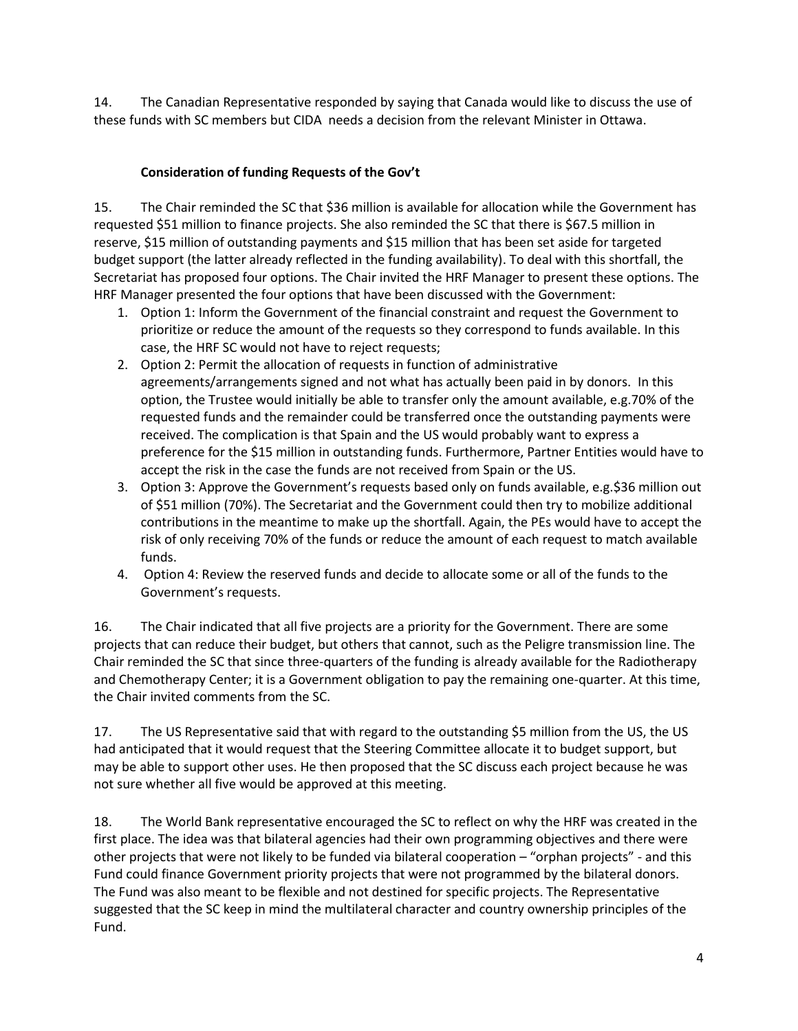14. The Canadian Representative responded by saying that Canada would like to discuss the use of these funds with SC members but CIDA needs a decision from the relevant Minister in Ottawa.

## **Consideration of funding Requests of the Gov't**

15. The Chair reminded the SC that \$36 million is available for allocation while the Government has requested \$51 million to finance projects. She also reminded the SC that there is \$67.5 million in reserve, \$15 million of outstanding payments and \$15 million that has been set aside for targeted budget support (the latter already reflected in the funding availability). To deal with this shortfall, the Secretariat has proposed four options. The Chair invited the HRF Manager to present these options. The HRF Manager presented the four options that have been discussed with the Government:

- 1. Option 1: Inform the Government of the financial constraint and request the Government to prioritize or reduce the amount of the requests so they correspond to funds available. In this case, the HRF SC would not have to reject requests;
- 2. Option 2: Permit the allocation of requests in function of administrative agreements/arrangements signed and not what has actually been paid in by donors. In this option, the Trustee would initially be able to transfer only the amount available, e.g.70% of the requested funds and the remainder could be transferred once the outstanding payments were received. The complication is that Spain and the US would probably want to express a preference for the \$15 million in outstanding funds. Furthermore, Partner Entities would have to accept the risk in the case the funds are not received from Spain or the US.
- 3. Option 3: Approve the Government's requests based only on funds available, e.g.\$36 million out of \$51 million (70%). The Secretariat and the Government could then try to mobilize additional contributions in the meantime to make up the shortfall. Again, the PEs would have to accept the risk of only receiving 70% of the funds or reduce the amount of each request to match available funds.
- 4. Option 4: Review the reserved funds and decide to allocate some or all of the funds to the Government's requests.

16. The Chair indicated that all five projects are a priority for the Government. There are some projects that can reduce their budget, but others that cannot, such as the Peligre transmission line. The Chair reminded the SC that since three-quarters of the funding is already available for the Radiotherapy and Chemotherapy Center; it is a Government obligation to pay the remaining one-quarter. At this time, the Chair invited comments from the SC.

17. The US Representative said that with regard to the outstanding \$5 million from the US, the US had anticipated that it would request that the Steering Committee allocate it to budget support, but may be able to support other uses. He then proposed that the SC discuss each project because he was not sure whether all five would be approved at this meeting.

18. The World Bank representative encouraged the SC to reflect on why the HRF was created in the first place. The idea was that bilateral agencies had their own programming objectives and there were other projects that were not likely to be funded via bilateral cooperation – "orphan projects" - and this Fund could finance Government priority projects that were not programmed by the bilateral donors. The Fund was also meant to be flexible and not destined for specific projects. The Representative suggested that the SC keep in mind the multilateral character and country ownership principles of the Fund.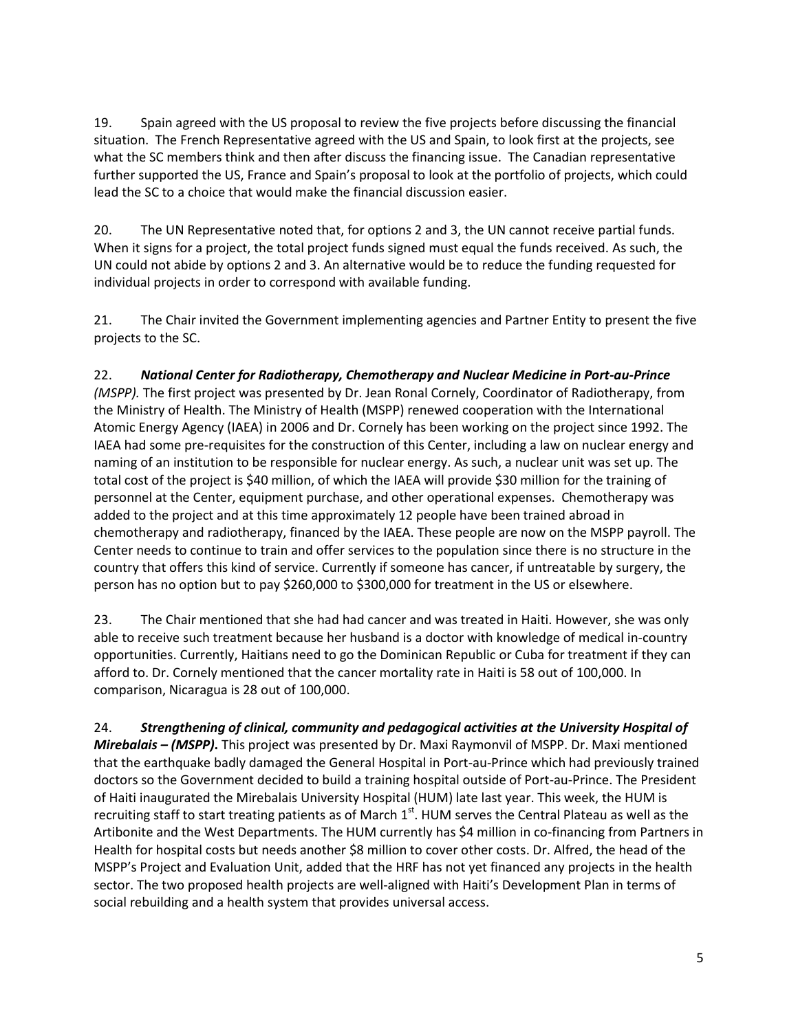19. Spain agreed with the US proposal to review the five projects before discussing the financial situation. The French Representative agreed with the US and Spain, to look first at the projects, see what the SC members think and then after discuss the financing issue. The Canadian representative further supported the US, France and Spain's proposal to look at the portfolio of projects, which could lead the SC to a choice that would make the financial discussion easier.

20. The UN Representative noted that, for options 2 and 3, the UN cannot receive partial funds. When it signs for a project, the total project funds signed must equal the funds received. As such, the UN could not abide by options 2 and 3. An alternative would be to reduce the funding requested for individual projects in order to correspond with available funding.

21. The Chair invited the Government implementing agencies and Partner Entity to present the five projects to the SC.

22. *National Center for Radiotherapy, Chemotherapy and Nuclear Medicine in Port-au-Prince (MSPP).* The first project was presented by Dr. Jean Ronal Cornely, Coordinator of Radiotherapy, from the Ministry of Health. The Ministry of Health (MSPP) renewed cooperation with the International Atomic Energy Agency (IAEA) in 2006 and Dr. Cornely has been working on the project since 1992. The IAEA had some pre-requisites for the construction of this Center, including a law on nuclear energy and naming of an institution to be responsible for nuclear energy. As such, a nuclear unit was set up. The total cost of the project is \$40 million, of which the IAEA will provide \$30 million for the training of personnel at the Center, equipment purchase, and other operational expenses. Chemotherapy was added to the project and at this time approximately 12 people have been trained abroad in chemotherapy and radiotherapy, financed by the IAEA. These people are now on the MSPP payroll. The Center needs to continue to train and offer services to the population since there is no structure in the country that offers this kind of service. Currently if someone has cancer, if untreatable by surgery, the person has no option but to pay \$260,000 to \$300,000 for treatment in the US or elsewhere.

23. The Chair mentioned that she had had cancer and was treated in Haiti. However, she was only able to receive such treatment because her husband is a doctor with knowledge of medical in-country opportunities. Currently, Haitians need to go the Dominican Republic or Cuba for treatment if they can afford to. Dr. Cornely mentioned that the cancer mortality rate in Haiti is 58 out of 100,000. In comparison, Nicaragua is 28 out of 100,000.

24. *Strengthening of clinical, community and pedagogical activities at the University Hospital of Mirebalais – (MSPP)***.** This project was presented by Dr. Maxi Raymonvil of MSPP. Dr. Maxi mentioned that the earthquake badly damaged the General Hospital in Port-au-Prince which had previously trained doctors so the Government decided to build a training hospital outside of Port-au-Prince. The President of Haiti inaugurated the Mirebalais University Hospital (HUM) late last year. This week, the HUM is recruiting staff to start treating patients as of March  $1<sup>st</sup>$ . HUM serves the Central Plateau as well as the Artibonite and the West Departments. The HUM currently has \$4 million in co-financing from Partners in Health for hospital costs but needs another \$8 million to cover other costs. Dr. Alfred, the head of the MSPP's Project and Evaluation Unit, added that the HRF has not yet financed any projects in the health sector. The two proposed health projects are well-aligned with Haiti's Development Plan in terms of social rebuilding and a health system that provides universal access.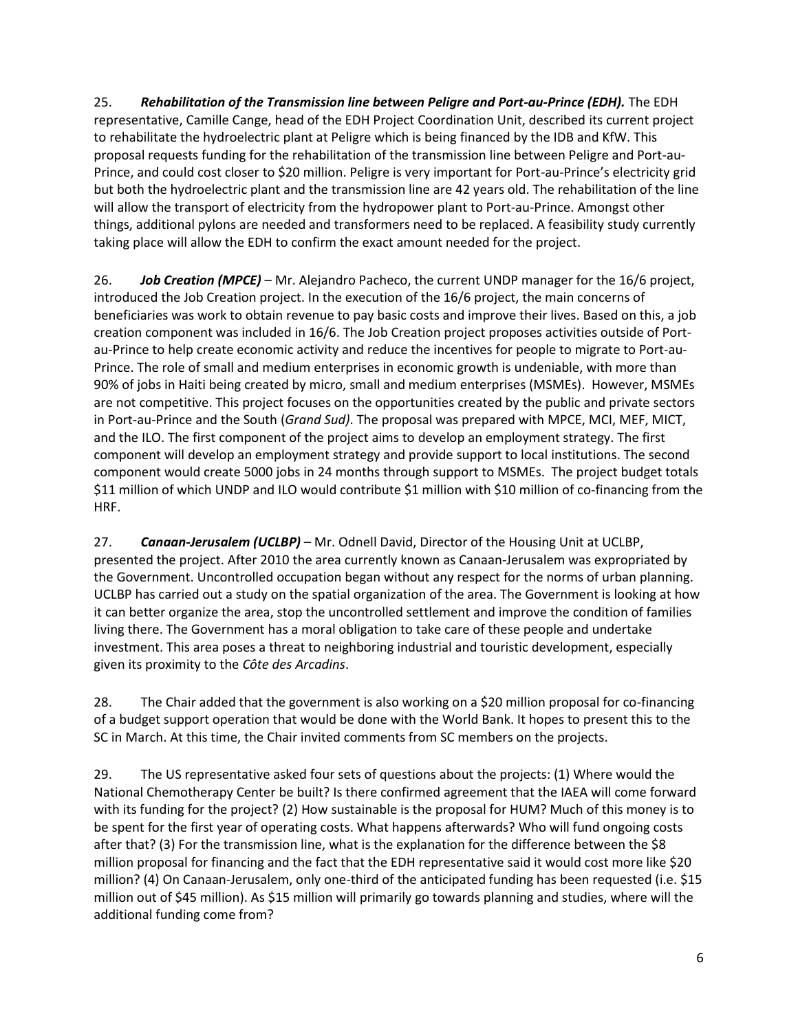25. *Rehabilitation of the Transmission line between Peligre and Port-au-Prince (EDH).* The EDH representative, Camille Cange, head of the EDH Project Coordination Unit, described its current project to rehabilitate the hydroelectric plant at Peligre which is being financed by the IDB and KfW. This proposal requests funding for the rehabilitation of the transmission line between Peligre and Port-au-Prince, and could cost closer to \$20 million. Peligre is very important for Port-au-Prince's electricity grid but both the hydroelectric plant and the transmission line are 42 years old. The rehabilitation of the line will allow the transport of electricity from the hydropower plant to Port-au-Prince. Amongst other things, additional pylons are needed and transformers need to be replaced. A feasibility study currently taking place will allow the EDH to confirm the exact amount needed for the project.

26. *Job Creation (MPCE)* – Mr. Alejandro Pacheco, the current UNDP manager for the 16/6 project, introduced the Job Creation project. In the execution of the 16/6 project, the main concerns of beneficiaries was work to obtain revenue to pay basic costs and improve their lives. Based on this, a job creation component was included in 16/6. The Job Creation project proposes activities outside of Portau-Prince to help create economic activity and reduce the incentives for people to migrate to Port-au-Prince. The role of small and medium enterprises in economic growth is undeniable, with more than 90% of jobs in Haiti being created by micro, small and medium enterprises (MSMEs). However, MSMEs are not competitive. This project focuses on the opportunities created by the public and private sectors in Port-au-Prince and the South (*Grand Sud)*. The proposal was prepared with MPCE, MCI, MEF, MICT, and the ILO. The first component of the project aims to develop an employment strategy. The first component will develop an employment strategy and provide support to local institutions. The second component would create 5000 jobs in 24 months through support to MSMEs. The project budget totals \$11 million of which UNDP and ILO would contribute \$1 million with \$10 million of co-financing from the HRF.

27. *Canaan-Jerusalem (UCLBP)* – Mr. Odnell David, Director of the Housing Unit at UCLBP, presented the project. After 2010 the area currently known as Canaan-Jerusalem was expropriated by the Government. Uncontrolled occupation began without any respect for the norms of urban planning. UCLBP has carried out a study on the spatial organization of the area. The Government is looking at how it can better organize the area, stop the uncontrolled settlement and improve the condition of families living there. The Government has a moral obligation to take care of these people and undertake investment. This area poses a threat to neighboring industrial and touristic development, especially given its proximity to the *Côte des Arcadins*.

28. The Chair added that the government is also working on a \$20 million proposal for co-financing of a budget support operation that would be done with the World Bank. It hopes to present this to the SC in March. At this time, the Chair invited comments from SC members on the projects.

29. The US representative asked four sets of questions about the projects: (1) Where would the National Chemotherapy Center be built? Is there confirmed agreement that the IAEA will come forward with its funding for the project? (2) How sustainable is the proposal for HUM? Much of this money is to be spent for the first year of operating costs. What happens afterwards? Who will fund ongoing costs after that? (3) For the transmission line, what is the explanation for the difference between the \$8 million proposal for financing and the fact that the EDH representative said it would cost more like \$20 million? (4) On Canaan-Jerusalem, only one-third of the anticipated funding has been requested (i.e. \$15 million out of \$45 million). As \$15 million will primarily go towards planning and studies, where will the additional funding come from?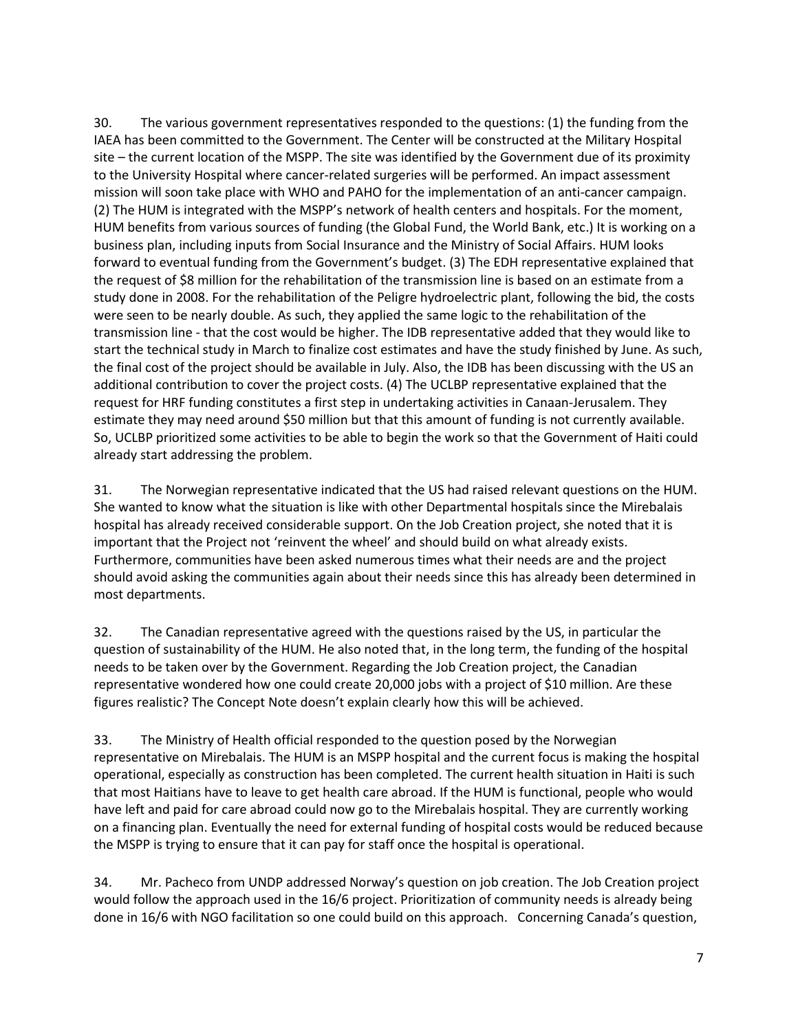30. The various government representatives responded to the questions: (1) the funding from the IAEA has been committed to the Government. The Center will be constructed at the Military Hospital site – the current location of the MSPP. The site was identified by the Government due of its proximity to the University Hospital where cancer-related surgeries will be performed. An impact assessment mission will soon take place with WHO and PAHO for the implementation of an anti-cancer campaign. (2) The HUM is integrated with the MSPP's network of health centers and hospitals. For the moment, HUM benefits from various sources of funding (the Global Fund, the World Bank, etc.) It is working on a business plan, including inputs from Social Insurance and the Ministry of Social Affairs. HUM looks forward to eventual funding from the Government's budget. (3) The EDH representative explained that the request of \$8 million for the rehabilitation of the transmission line is based on an estimate from a study done in 2008. For the rehabilitation of the Peligre hydroelectric plant, following the bid, the costs were seen to be nearly double. As such, they applied the same logic to the rehabilitation of the transmission line - that the cost would be higher. The IDB representative added that they would like to start the technical study in March to finalize cost estimates and have the study finished by June. As such, the final cost of the project should be available in July. Also, the IDB has been discussing with the US an additional contribution to cover the project costs. (4) The UCLBP representative explained that the request for HRF funding constitutes a first step in undertaking activities in Canaan-Jerusalem. They estimate they may need around \$50 million but that this amount of funding is not currently available. So, UCLBP prioritized some activities to be able to begin the work so that the Government of Haiti could already start addressing the problem.

31. The Norwegian representative indicated that the US had raised relevant questions on the HUM. She wanted to know what the situation is like with other Departmental hospitals since the Mirebalais hospital has already received considerable support. On the Job Creation project, she noted that it is important that the Project not 'reinvent the wheel' and should build on what already exists. Furthermore, communities have been asked numerous times what their needs are and the project should avoid asking the communities again about their needs since this has already been determined in most departments.

32. The Canadian representative agreed with the questions raised by the US, in particular the question of sustainability of the HUM. He also noted that, in the long term, the funding of the hospital needs to be taken over by the Government. Regarding the Job Creation project, the Canadian representative wondered how one could create 20,000 jobs with a project of \$10 million. Are these figures realistic? The Concept Note doesn't explain clearly how this will be achieved.

33. The Ministry of Health official responded to the question posed by the Norwegian representative on Mirebalais. The HUM is an MSPP hospital and the current focus is making the hospital operational, especially as construction has been completed. The current health situation in Haiti is such that most Haitians have to leave to get health care abroad. If the HUM is functional, people who would have left and paid for care abroad could now go to the Mirebalais hospital. They are currently working on a financing plan. Eventually the need for external funding of hospital costs would be reduced because the MSPP is trying to ensure that it can pay for staff once the hospital is operational.

34. Mr. Pacheco from UNDP addressed Norway's question on job creation. The Job Creation project would follow the approach used in the 16/6 project. Prioritization of community needs is already being done in 16/6 with NGO facilitation so one could build on this approach. Concerning Canada's question,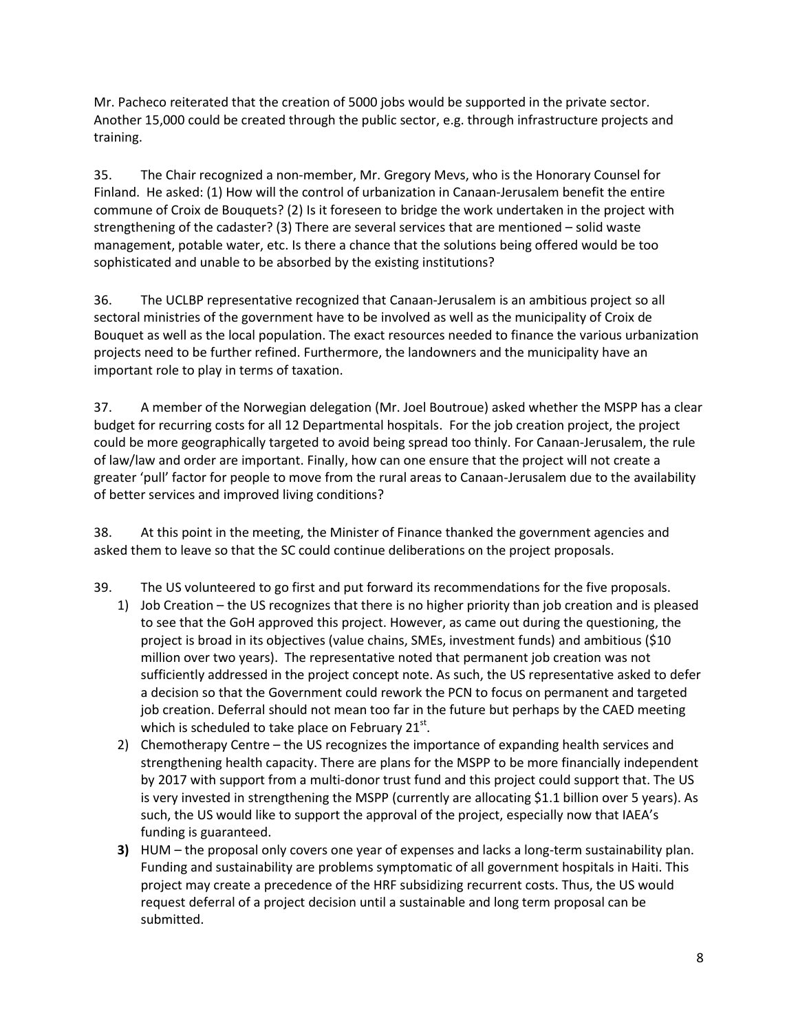Mr. Pacheco reiterated that the creation of 5000 jobs would be supported in the private sector. Another 15,000 could be created through the public sector, e.g. through infrastructure projects and training.

35. The Chair recognized a non-member, Mr. Gregory Mevs, who is the Honorary Counsel for Finland. He asked: (1) How will the control of urbanization in Canaan-Jerusalem benefit the entire commune of Croix de Bouquets? (2) Is it foreseen to bridge the work undertaken in the project with strengthening of the cadaster? (3) There are several services that are mentioned – solid waste management, potable water, etc. Is there a chance that the solutions being offered would be too sophisticated and unable to be absorbed by the existing institutions?

36. The UCLBP representative recognized that Canaan-Jerusalem is an ambitious project so all sectoral ministries of the government have to be involved as well as the municipality of Croix de Bouquet as well as the local population. The exact resources needed to finance the various urbanization projects need to be further refined. Furthermore, the landowners and the municipality have an important role to play in terms of taxation.

37. A member of the Norwegian delegation (Mr. Joel Boutroue) asked whether the MSPP has a clear budget for recurring costs for all 12 Departmental hospitals. For the job creation project, the project could be more geographically targeted to avoid being spread too thinly. For Canaan-Jerusalem, the rule of law/law and order are important. Finally, how can one ensure that the project will not create a greater 'pull' factor for people to move from the rural areas to Canaan-Jerusalem due to the availability of better services and improved living conditions?

38. At this point in the meeting, the Minister of Finance thanked the government agencies and asked them to leave so that the SC could continue deliberations on the project proposals.

39. The US volunteered to go first and put forward its recommendations for the five proposals.

- 1) Job Creation the US recognizes that there is no higher priority than job creation and is pleased to see that the GoH approved this project. However, as came out during the questioning, the project is broad in its objectives (value chains, SMEs, investment funds) and ambitious (\$10 million over two years). The representative noted that permanent job creation was not sufficiently addressed in the project concept note. As such, the US representative asked to defer a decision so that the Government could rework the PCN to focus on permanent and targeted job creation. Deferral should not mean too far in the future but perhaps by the CAED meeting which is scheduled to take place on February 21 $^{\rm st}$ .
- 2) Chemotherapy Centre the US recognizes the importance of expanding health services and strengthening health capacity. There are plans for the MSPP to be more financially independent by 2017 with support from a multi-donor trust fund and this project could support that. The US is very invested in strengthening the MSPP (currently are allocating \$1.1 billion over 5 years). As such, the US would like to support the approval of the project, especially now that IAEA's funding is guaranteed.
- **3)** HUM the proposal only covers one year of expenses and lacks a long-term sustainability plan. Funding and sustainability are problems symptomatic of all government hospitals in Haiti. This project may create a precedence of the HRF subsidizing recurrent costs. Thus, the US would request deferral of a project decision until a sustainable and long term proposal can be submitted.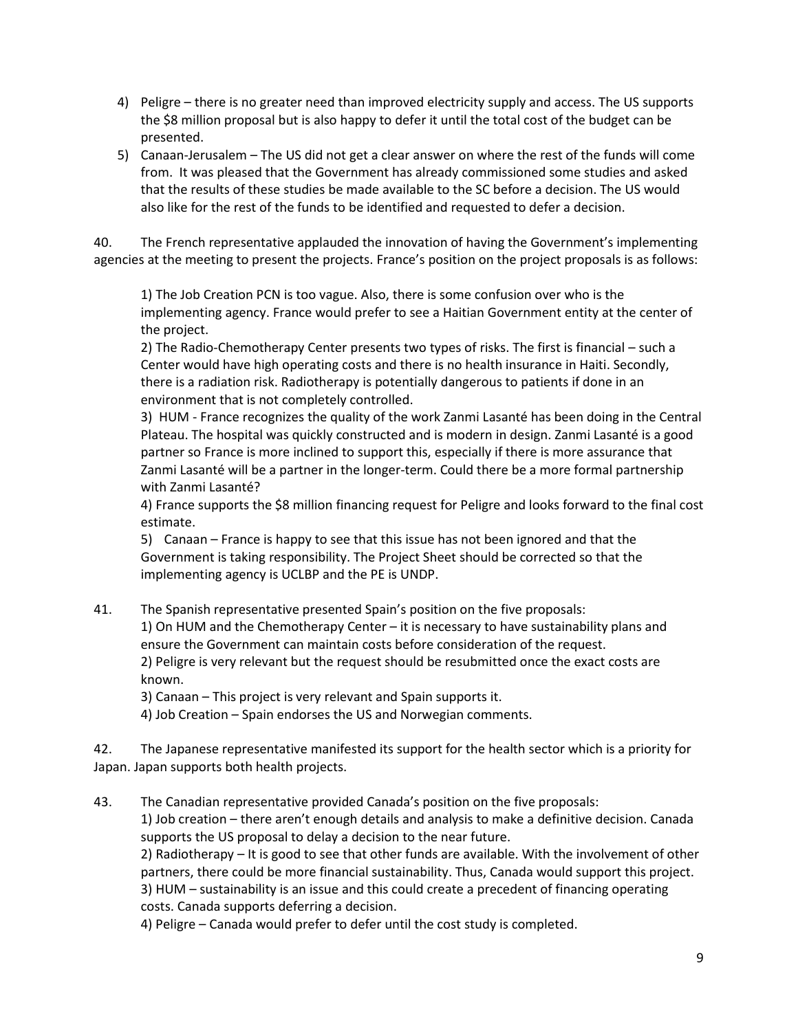- 4) Peligre there is no greater need than improved electricity supply and access. The US supports the \$8 million proposal but is also happy to defer it until the total cost of the budget can be presented.
- 5) Canaan-Jerusalem The US did not get a clear answer on where the rest of the funds will come from. It was pleased that the Government has already commissioned some studies and asked that the results of these studies be made available to the SC before a decision. The US would also like for the rest of the funds to be identified and requested to defer a decision.

40. The French representative applauded the innovation of having the Government's implementing agencies at the meeting to present the projects. France's position on the project proposals is as follows:

1) The Job Creation PCN is too vague. Also, there is some confusion over who is the implementing agency. France would prefer to see a Haitian Government entity at the center of the project.

2) The Radio-Chemotherapy Center presents two types of risks. The first is financial – such a Center would have high operating costs and there is no health insurance in Haiti. Secondly, there is a radiation risk. Radiotherapy is potentially dangerous to patients if done in an environment that is not completely controlled.

3) HUM - France recognizes the quality of the work Zanmi Lasanté has been doing in the Central Plateau. The hospital was quickly constructed and is modern in design. Zanmi Lasanté is a good partner so France is more inclined to support this, especially if there is more assurance that Zanmi Lasanté will be a partner in the longer-term. Could there be a more formal partnership with Zanmi Lasanté?

4) France supports the \$8 million financing request for Peligre and looks forward to the final cost estimate.

5) Canaan – France is happy to see that this issue has not been ignored and that the Government is taking responsibility. The Project Sheet should be corrected so that the implementing agency is UCLBP and the PE is UNDP.

41. The Spanish representative presented Spain's position on the five proposals:

1) On HUM and the Chemotherapy Center – it is necessary to have sustainability plans and ensure the Government can maintain costs before consideration of the request.

2) Peligre is very relevant but the request should be resubmitted once the exact costs are known.

3) Canaan – This project is very relevant and Spain supports it.

4) Job Creation – Spain endorses the US and Norwegian comments.

42. The Japanese representative manifested its support for the health sector which is a priority for Japan. Japan supports both health projects.

43. The Canadian representative provided Canada's position on the five proposals:

1) Job creation – there aren't enough details and analysis to make a definitive decision. Canada supports the US proposal to delay a decision to the near future.

2) Radiotherapy – It is good to see that other funds are available. With the involvement of other partners, there could be more financial sustainability. Thus, Canada would support this project. 3) HUM – sustainability is an issue and this could create a precedent of financing operating

costs. Canada supports deferring a decision.

4) Peligre – Canada would prefer to defer until the cost study is completed.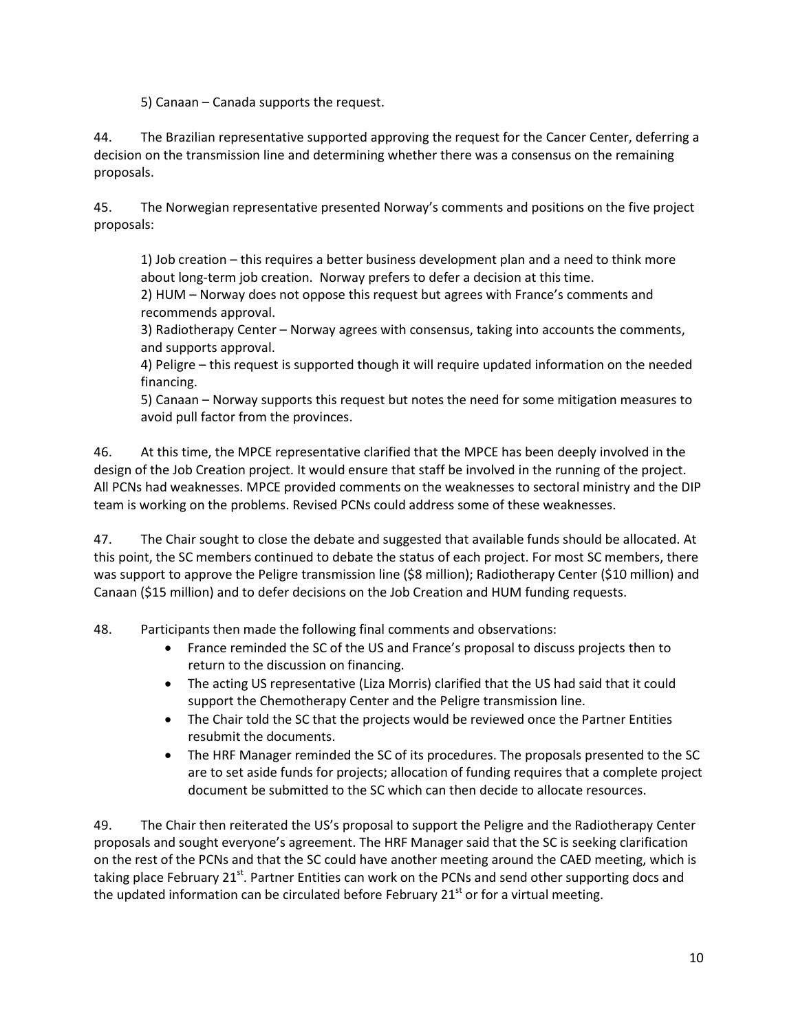5) Canaan – Canada supports the request.

44. The Brazilian representative supported approving the request for the Cancer Center, deferring a decision on the transmission line and determining whether there was a consensus on the remaining proposals.

45. The Norwegian representative presented Norway's comments and positions on the five project proposals:

1) Job creation – this requires a better business development plan and a need to think more about long-term job creation. Norway prefers to defer a decision at this time.

2) HUM – Norway does not oppose this request but agrees with France's comments and recommends approval.

3) Radiotherapy Center – Norway agrees with consensus, taking into accounts the comments, and supports approval.

4) Peligre – this request is supported though it will require updated information on the needed financing.

5) Canaan – Norway supports this request but notes the need for some mitigation measures to avoid pull factor from the provinces.

46. At this time, the MPCE representative clarified that the MPCE has been deeply involved in the design of the Job Creation project. It would ensure that staff be involved in the running of the project. All PCNs had weaknesses. MPCE provided comments on the weaknesses to sectoral ministry and the DIP team is working on the problems. Revised PCNs could address some of these weaknesses.

47. The Chair sought to close the debate and suggested that available funds should be allocated. At this point, the SC members continued to debate the status of each project. For most SC members, there was support to approve the Peligre transmission line (\$8 million); Radiotherapy Center (\$10 million) and Canaan (\$15 million) and to defer decisions on the Job Creation and HUM funding requests.

48. Participants then made the following final comments and observations:

- France reminded the SC of the US and France's proposal to discuss projects then to return to the discussion on financing.
- The acting US representative (Liza Morris) clarified that the US had said that it could support the Chemotherapy Center and the Peligre transmission line.
- The Chair told the SC that the projects would be reviewed once the Partner Entities resubmit the documents.
- The HRF Manager reminded the SC of its procedures. The proposals presented to the SC are to set aside funds for projects; allocation of funding requires that a complete project document be submitted to the SC which can then decide to allocate resources.

49. The Chair then reiterated the US's proposal to support the Peligre and the Radiotherapy Center proposals and sought everyone's agreement. The HRF Manager said that the SC is seeking clarification on the rest of the PCNs and that the SC could have another meeting around the CAED meeting, which is taking place February  $21^{st}$ . Partner Entities can work on the PCNs and send other supporting docs and the updated information can be circulated before February  $21<sup>st</sup>$  or for a virtual meeting.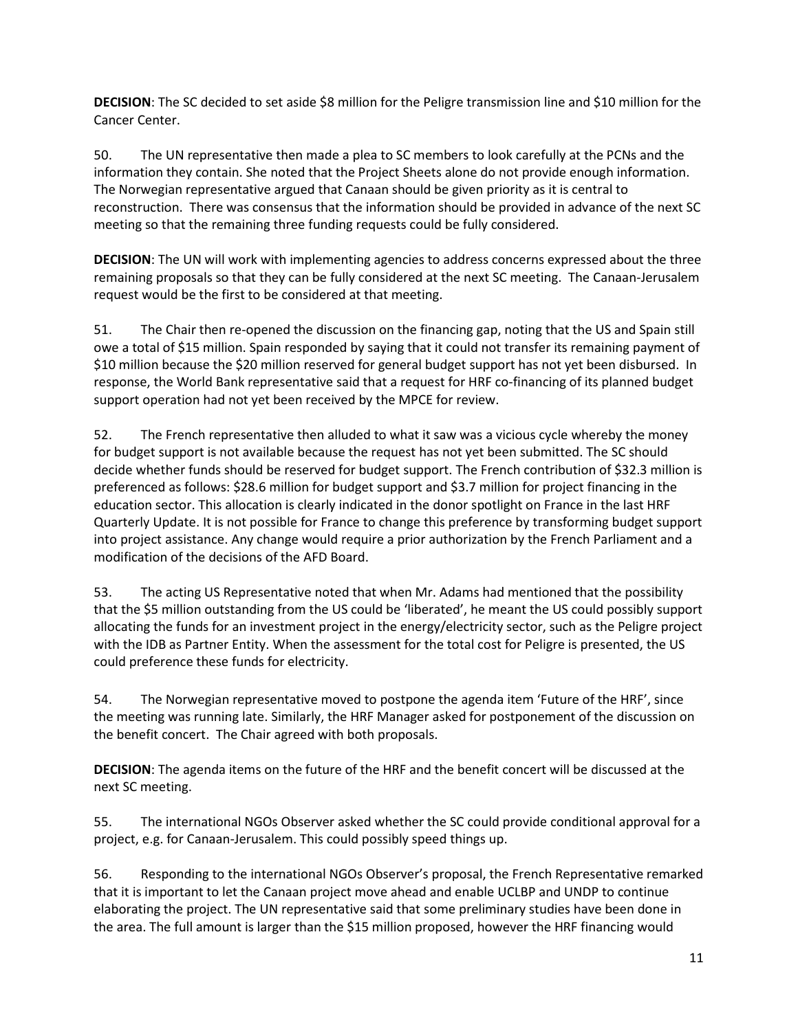**DECISION**: The SC decided to set aside \$8 million for the Peligre transmission line and \$10 million for the Cancer Center.

50. The UN representative then made a plea to SC members to look carefully at the PCNs and the information they contain. She noted that the Project Sheets alone do not provide enough information. The Norwegian representative argued that Canaan should be given priority as it is central to reconstruction. There was consensus that the information should be provided in advance of the next SC meeting so that the remaining three funding requests could be fully considered.

**DECISION**: The UN will work with implementing agencies to address concerns expressed about the three remaining proposals so that they can be fully considered at the next SC meeting. The Canaan-Jerusalem request would be the first to be considered at that meeting.

51. The Chair then re-opened the discussion on the financing gap, noting that the US and Spain still owe a total of \$15 million. Spain responded by saying that it could not transfer its remaining payment of \$10 million because the \$20 million reserved for general budget support has not yet been disbursed. In response, the World Bank representative said that a request for HRF co-financing of its planned budget support operation had not yet been received by the MPCE for review.

52. The French representative then alluded to what it saw was a vicious cycle whereby the money for budget support is not available because the request has not yet been submitted. The SC should decide whether funds should be reserved for budget support. The French contribution of \$32.3 million is preferenced as follows: \$28.6 million for budget support and \$3.7 million for project financing in the education sector. This allocation is clearly indicated in the donor spotlight on France in the last HRF Quarterly Update. It is not possible for France to change this preference by transforming budget support into project assistance. Any change would require a prior authorization by the French Parliament and a modification of the decisions of the AFD Board.

53. The acting US Representative noted that when Mr. Adams had mentioned that the possibility that the \$5 million outstanding from the US could be 'liberated', he meant the US could possibly support allocating the funds for an investment project in the energy/electricity sector, such as the Peligre project with the IDB as Partner Entity. When the assessment for the total cost for Peligre is presented, the US could preference these funds for electricity.

54. The Norwegian representative moved to postpone the agenda item 'Future of the HRF', since the meeting was running late. Similarly, the HRF Manager asked for postponement of the discussion on the benefit concert. The Chair agreed with both proposals.

**DECISION**: The agenda items on the future of the HRF and the benefit concert will be discussed at the next SC meeting.

55. The international NGOs Observer asked whether the SC could provide conditional approval for a project, e.g. for Canaan-Jerusalem. This could possibly speed things up.

56. Responding to the international NGOs Observer's proposal, the French Representative remarked that it is important to let the Canaan project move ahead and enable UCLBP and UNDP to continue elaborating the project. The UN representative said that some preliminary studies have been done in the area. The full amount is larger than the \$15 million proposed, however the HRF financing would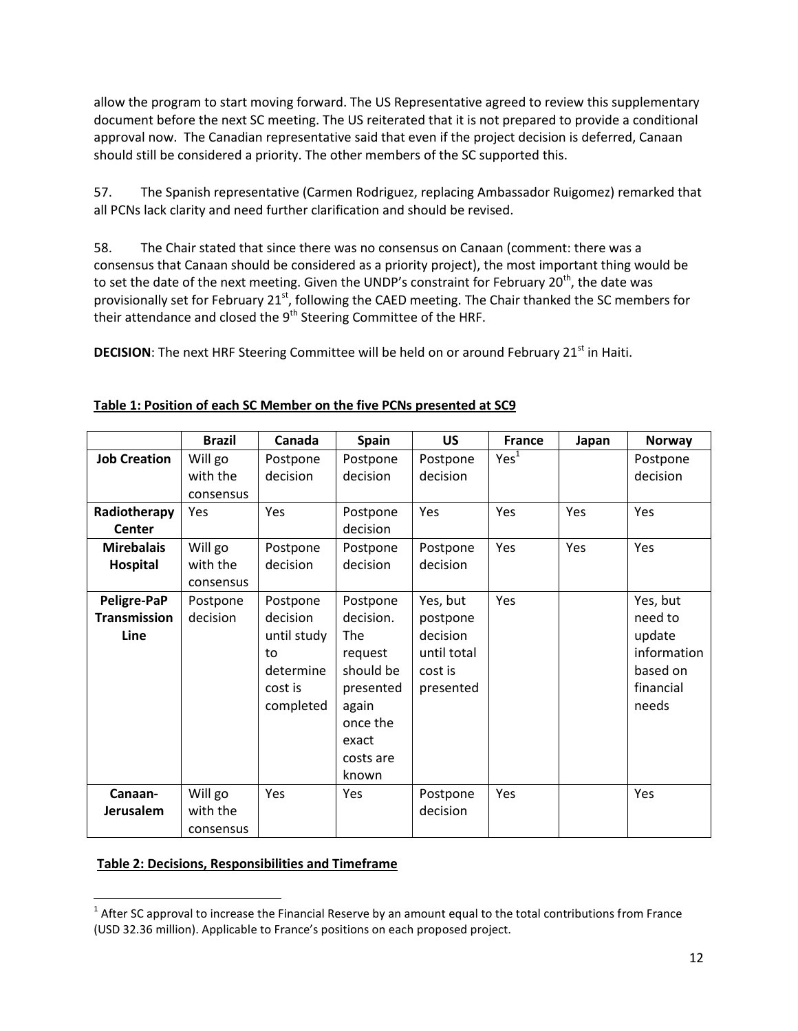allow the program to start moving forward. The US Representative agreed to review this supplementary document before the next SC meeting. The US reiterated that it is not prepared to provide a conditional approval now. The Canadian representative said that even if the project decision is deferred, Canaan should still be considered a priority. The other members of the SC supported this.

57. The Spanish representative (Carmen Rodriguez, replacing Ambassador Ruigomez) remarked that all PCNs lack clarity and need further clarification and should be revised.

58. The Chair stated that since there was no consensus on Canaan (comment: there was a consensus that Canaan should be considered as a priority project), the most important thing would be to set the date of the next meeting. Given the UNDP's constraint for February 20<sup>th</sup>, the date was provisionally set for February 21<sup>st</sup>, following the CAED meeting. The Chair thanked the SC members for their attendance and closed the 9<sup>th</sup> Steering Committee of the HRF.

**DECISION:** The next HRF Steering Committee will be held on or around February 21<sup>st</sup> in Haiti.

|                                            | <b>Brazil</b>                    | Canada                                                                         | <b>Spain</b>                                                                                                                 | <b>US</b>                                                               | <b>France</b>    | Japan | <b>Norway</b>                                                                  |
|--------------------------------------------|----------------------------------|--------------------------------------------------------------------------------|------------------------------------------------------------------------------------------------------------------------------|-------------------------------------------------------------------------|------------------|-------|--------------------------------------------------------------------------------|
| <b>Job Creation</b>                        | Will go<br>with the<br>consensus | Postpone<br>decision                                                           | Postpone<br>decision                                                                                                         | Postpone<br>decision                                                    | Yes <sup>1</sup> |       | Postpone<br>decision                                                           |
| Radiotherapy<br>Center                     | Yes                              | Yes                                                                            | Postpone<br>decision                                                                                                         | Yes                                                                     | Yes              | Yes   | Yes                                                                            |
| <b>Mirebalais</b><br>Hospital              | Will go<br>with the<br>consensus | Postpone<br>decision                                                           | Postpone<br>decision                                                                                                         | Postpone<br>decision                                                    | Yes              | Yes   | Yes                                                                            |
| Peligre-PaP<br><b>Transmission</b><br>Line | Postpone<br>decision             | Postpone<br>decision<br>until study<br>to<br>determine<br>cost is<br>completed | Postpone<br>decision.<br><b>The</b><br>request<br>should be<br>presented<br>again<br>once the<br>exact<br>costs are<br>known | Yes, but<br>postpone<br>decision<br>until total<br>cost is<br>presented | Yes              |       | Yes, but<br>need to<br>update<br>information<br>based on<br>financial<br>needs |
| Canaan-<br>Jerusalem                       | Will go<br>with the<br>consensus | Yes                                                                            | Yes                                                                                                                          | Postpone<br>decision                                                    | Yes              |       | Yes                                                                            |

## **Table 1: Position of each SC Member on the five PCNs presented at SC9**

#### **Table 2: Decisions, Responsibilities and Timeframe**

l  $1$  After SC approval to increase the Financial Reserve by an amount equal to the total contributions from France (USD 32.36 million). Applicable to France's positions on each proposed project.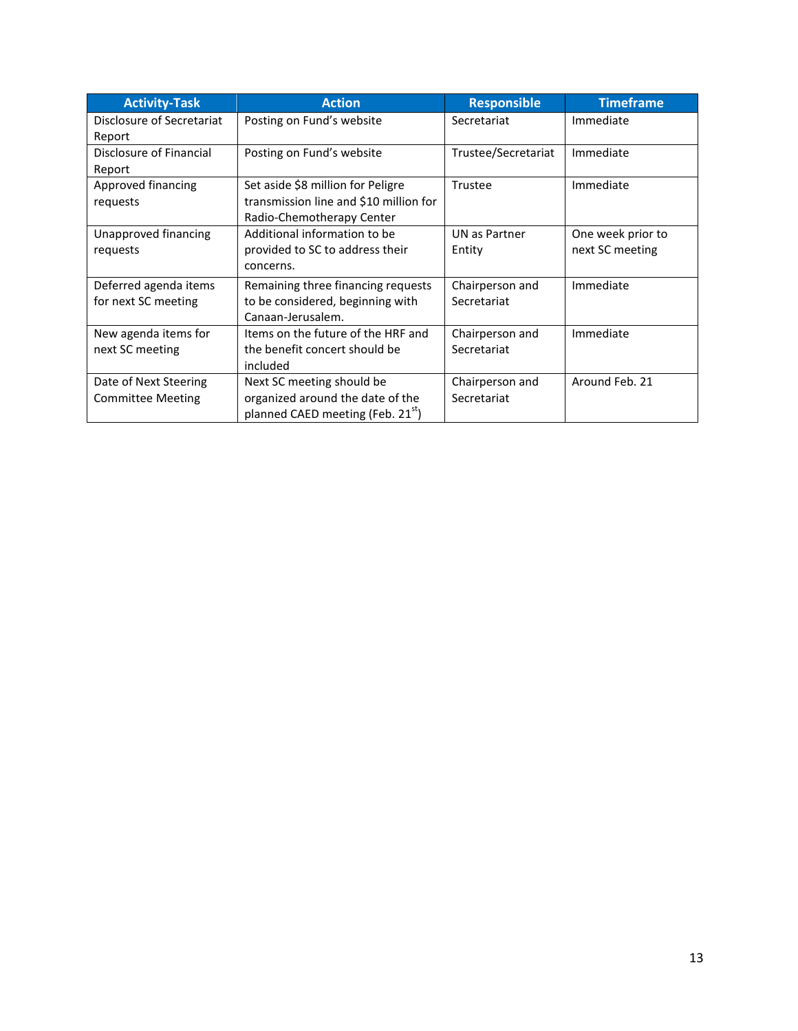| <b>Activity-Task</b>                              | <b>Action</b>                                                                                                  | <b>Responsible</b>             | <b>Timeframe</b>                     |
|---------------------------------------------------|----------------------------------------------------------------------------------------------------------------|--------------------------------|--------------------------------------|
| Disclosure of Secretariat<br>Report               | Posting on Fund's website                                                                                      | Secretariat                    | Immediate                            |
| Disclosure of Financial<br>Report                 | Posting on Fund's website                                                                                      | Trustee/Secretariat            | Immediate                            |
| Approved financing<br>requests                    | Set aside \$8 million for Peligre<br>transmission line and \$10 million for<br>Radio-Chemotherapy Center       | <b>Trustee</b>                 | Immediate                            |
| Unapproved financing<br>requests                  | Additional information to be<br>provided to SC to address their<br>concerns.                                   | UN as Partner<br>Entity        | One week prior to<br>next SC meeting |
| Deferred agenda items<br>for next SC meeting      | Remaining three financing requests<br>to be considered, beginning with<br>Canaan-Jerusalem.                    | Chairperson and<br>Secretariat | Immediate                            |
| New agenda items for<br>next SC meeting           | Items on the future of the HRF and<br>the benefit concert should be<br>included                                | Chairperson and<br>Secretariat | Immediate                            |
| Date of Next Steering<br><b>Committee Meeting</b> | Next SC meeting should be<br>organized around the date of the<br>planned CAED meeting (Feb. 21 <sup>st</sup> ) | Chairperson and<br>Secretariat | Around Feb. 21                       |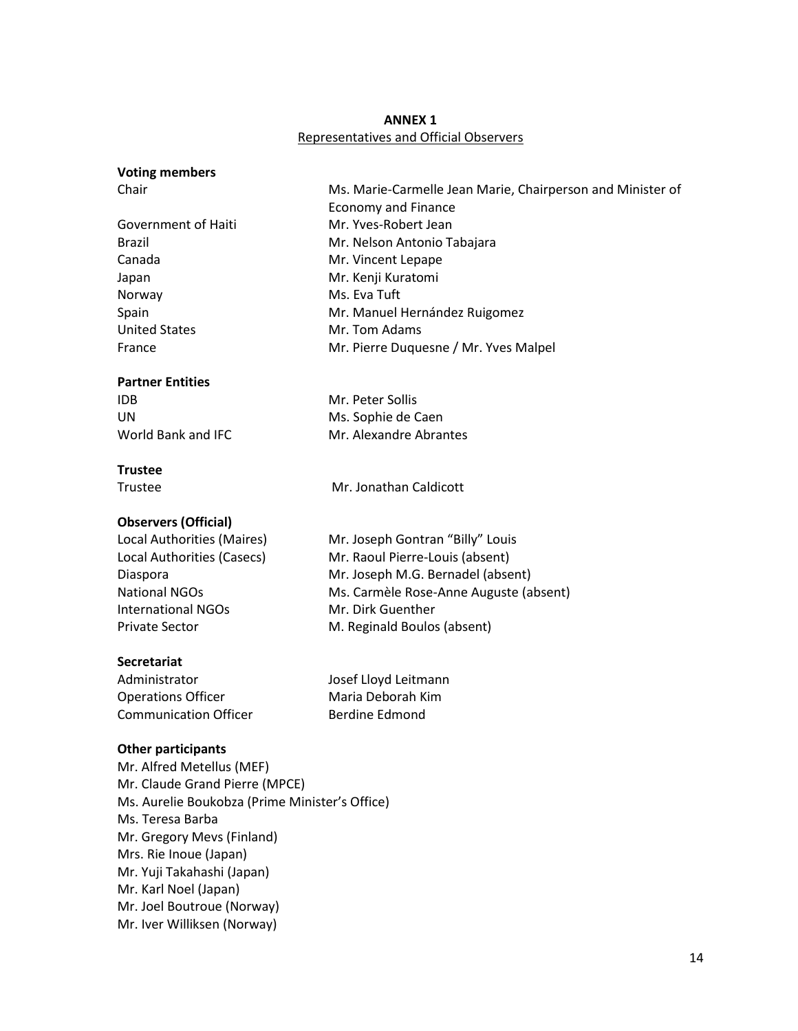## **ANNEX 1** Representatives and Official Observers

#### **Voting members**

Government of Haiti Mr. Yves-Robert Jean Canada Mr. Vincent Lepape Japan Mr. Kenji Kuratomi Norway Ms. Eva Tuft United States Mr. Tom Adams

#### **Partner Entities**

IDB Mr. Peter Sollis

#### **Trustee**

Trustee Mr. Jonathan Caldicott

## **Observers (Official)**

Local Authorities (Maires) Mr. Joseph Gontran "Billy" Louis International NGOs Mr. Dirk Guenther

## **Secretariat**

Administrator and Josef Lloyd Leitmann Operations Officer **Maria Deborah Kim** Communication Officer Berdine Edmond

## **Other participants**

Mr. Alfred Metellus (MEF) Mr. Claude Grand Pierre (MPCE) Ms. Aurelie Boukobza (Prime Minister's Office) Ms. Teresa Barba Mr. Gregory Mevs (Finland) Mrs. Rie Inoue (Japan) Mr. Yuji Takahashi (Japan) Mr. Karl Noel (Japan) Mr. Joel Boutroue (Norway) Mr. Iver Williksen (Norway)

Chair Ms. Marie-Carmelle Jean Marie, Chairperson and Minister of Economy and Finance Brazil Mr. Nelson Antonio Tabajara Spain Mr. Manuel Hernández Ruigomez France **Mr. Pierre Duquesne / Mr. Yves Malpel** 

UN Ms. Sophie de Caen World Bank and IFC Mr. Alexandre Abrantes

# Local Authorities (Casecs) Mr. Raoul Pierre-Louis (absent) Diaspora Mr. Joseph M.G. Bernadel (absent) National NGOs Ms. Carmèle Rose-Anne Auguste (absent) Private Sector M. Reginald Boulos (absent)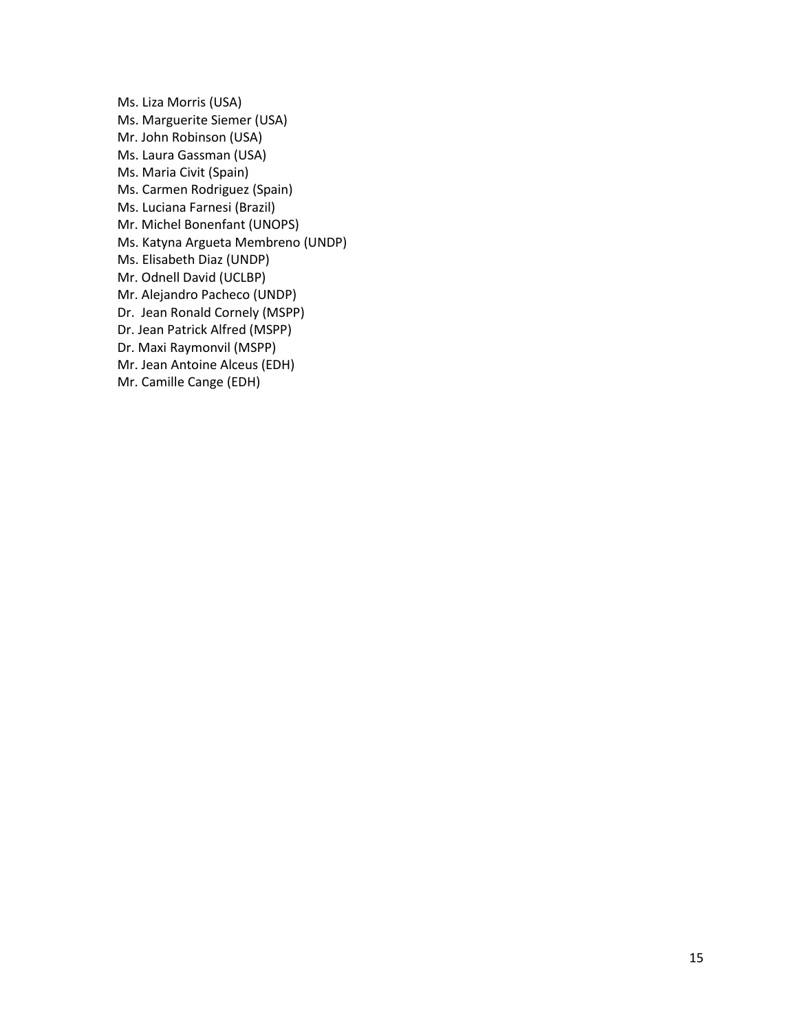Ms. Liza Morris (USA) Ms. Marguerite Siemer (USA) Mr. John Robinson (USA) Ms. Laura Gassman (USA) Ms. Maria Civit (Spain) Ms. Carmen Rodriguez (Spain) Ms. Luciana Farnesi (Brazil) Mr. Michel Bonenfant (UNOPS) Ms. Katyna Argueta Membreno (UNDP) Ms. Elisabeth Diaz (UNDP) Mr. Odnell David (UCLBP) Mr. Alejandro Pacheco (UNDP) Dr. Jean Ronald Cornely (MSPP) Dr. Jean Patrick Alfred (MSPP) Dr. Maxi Raymonvil (MSPP) Mr. Jean Antoine Alceus (EDH) Mr. Camille Cange (EDH)